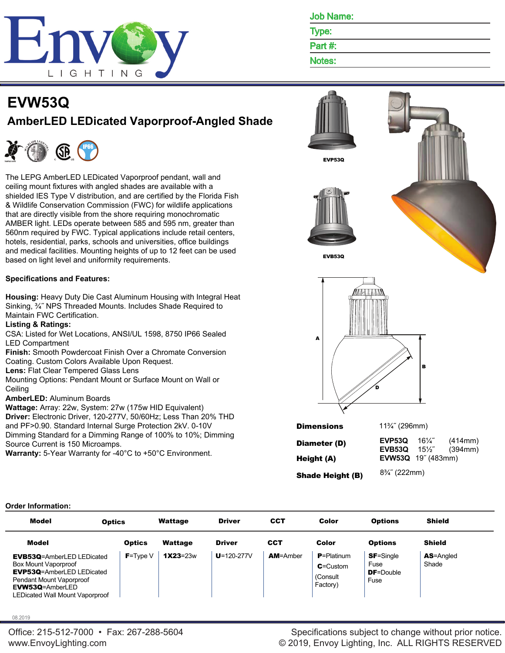

Job Name:

Type:

Part #:

Notes:

# **EVW53Q AmberLED LEDicated Vaporproof-Angled Shade**



The LEPG AmberLED LEDicated Vaporproof pendant, wall and ceiling mount fixtures with angled shades are available with a shielded IES Type V distribution, and are certified by the Florida Fish & Wildlife Conservation Commission (FWC) for wildlife applications that are directly visible from the shore requiring monochromatic AMBER light. LEDs operate between 585 and 595 nm, greater than 560nm required by FWC. Typical applications include retail centers, hotels, residential, parks, schools and universities, office buildings and medical facilities. Mounting heights of up to 12 feet can be used based on light level and uniformity requirements.

## **Specifications and Features:**

**Housing:** Heavy Duty Die Cast Aluminum Housing with Integral Heat Sinking, ¾˝ NPS Threaded Mounts. Includes Shade Required to Maintain FWC Certification.

## **Listing & Ratings:**

CSA: Listed for Wet Locations, ANSI/UL 1598, 8750 IP66 Sealed LED Compartment

**Finish:** Smooth Powdercoat Finish Over a Chromate Conversion Coating. Custom Colors Available Upon Request.

**Lens:** Flat Clear Tempered Glass Lens

Mounting Options: Pendant Mount or Surface Mount on Wall or **Ceiling** 

**AmberLED:** Aluminum Boards

**Wattage:** Array: 22w, System: 27w (175w HID Equivalent) **Driver:** Electronic Driver, 120-277V, 50/60Hz; Less Than 20% THD and PF>0.90. Standard Internal Surge Protection 2kV. 0-10V Dimming Standard for a Dimming Range of 100% to 10%; Dimming Source Current is 150 Microamps.

**Warranty:** 5-Year Warranty for -40°C to +50°C Environment.



**Shade Height (B)**  $8\frac{3}{4}$  (222mm)

## **Order Information:**

| <b>Model</b>                                                                                                                                                                            | <b>Optics</b> | Wattage      | <b>Driver</b>    | CCT             | Color                                                  | <b>Options</b>                                     | <b>Shield</b>              |
|-----------------------------------------------------------------------------------------------------------------------------------------------------------------------------------------|---------------|--------------|------------------|-----------------|--------------------------------------------------------|----------------------------------------------------|----------------------------|
| Model                                                                                                                                                                                   | <b>Optics</b> | Wattage      | <b>Driver</b>    | <b>CCT</b>      | Color                                                  | <b>Options</b>                                     | <b>Shield</b>              |
| <b>EVB53Q</b> =AmberLED LEDicated<br>Box Mount Vaporproof<br><b>EVP53Q</b> =AmberLED LEDicated<br>Pendant Mount Vaporproof<br><b>EVW53Q=AmberLED</b><br>LEDicated Wall Mount Vaporproof | $F = Type V$  | $1X23 = 23w$ | $U = 120 - 277V$ | <b>AM=Amber</b> | $P =$ Platinum<br>$C =$ Custom<br>(Consult<br>Factory) | <b>SF</b> =Single<br>Fuse<br>$DF = Double$<br>Fuse | <b>AS</b> =Angled<br>Shade |

08.2019